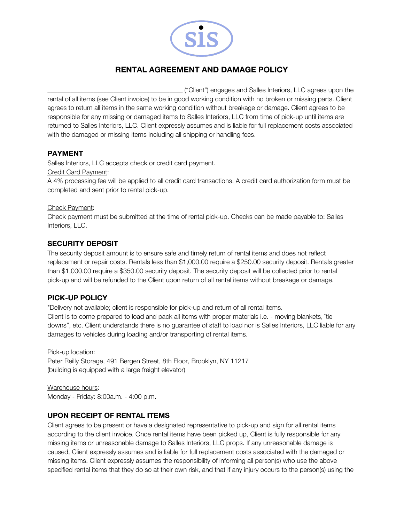

# **RENTAL AGREEMENT AND DAMAGE POLICY**

\_\_\_\_\_\_\_\_\_\_\_\_\_\_\_\_\_\_\_\_\_\_\_\_\_\_\_\_\_\_\_\_\_\_\_\_\_\_\_\_\_ ("Client") engages and Salles Interiors, LLC agrees upon the rental of all items (see Client invoice) to be in good working condition with no broken or missing parts. Client agrees to return all items in the same working condition without breakage or damage. Client agrees to be responsible for any missing or damaged items to Salles Interiors, LLC from time of pick-up until items are returned to Salles Interiors, LLC. Client expressly assumes and is liable for full replacement costs associated with the damaged or missing items including all shipping or handling fees.

#### **PAYMENT**

Salles Interiors, LLC accepts check or credit card payment.

Credit Card Payment:

A 4% processing fee will be applied to all credit card transactions. A credit card authorization form must be completed and sent prior to rental pick-up.

#### Check Payment:

Check payment must be submitted at the time of rental pick-up. Checks can be made payable to: Salles Interiors, LLC.

### **SECURITY DEPOSIT**

The security deposit amount is to ensure safe and timely return of rental items and does not reflect replacement or repair costs. Rentals less than \$1,000.00 require a \$250.00 security deposit. Rentals greater than \$1,000.00 require a \$350.00 security deposit. The security deposit will be collected prior to rental pick-up and will be refunded to the Client upon return of all rental items without breakage or damage.

# **PICK-UP POLICY**

\*Delivery not available; client is responsible for pick-up and return of all rental items. Client is to come prepared to load and pack all items with proper materials i.e. - moving blankets, ¨tie downs", etc. Client understands there is no guarantee of staff to load nor is Salles Interiors, LLC liable for any damages to vehicles during loading and/or transporting of rental items.

Pick-up location: Peter Reilly Storage, 491 Bergen Street, 8th Floor, Brooklyn, NY 11217 (building is equipped with a large freight elevator)

Warehouse hours: Monday - Friday: 8:00a.m. - 4:00 p.m.

# **UPON RECEIPT OF RENTAL ITEMS**

Client agrees to be present or have a designated representative to pick-up and sign for all rental items according to the client invoice. Once rental items have been picked up, Client is fully responsible for any missing items or unreasonable damage to Salles Interiors, LLC props. If any unreasonable damage is caused, Client expressly assumes and is liable for full replacement costs associated with the damaged or missing items. Client expressly assumes the responsibility of informing all person(s) who use the above specified rental items that they do so at their own risk, and that if any injury occurs to the person(s) using the